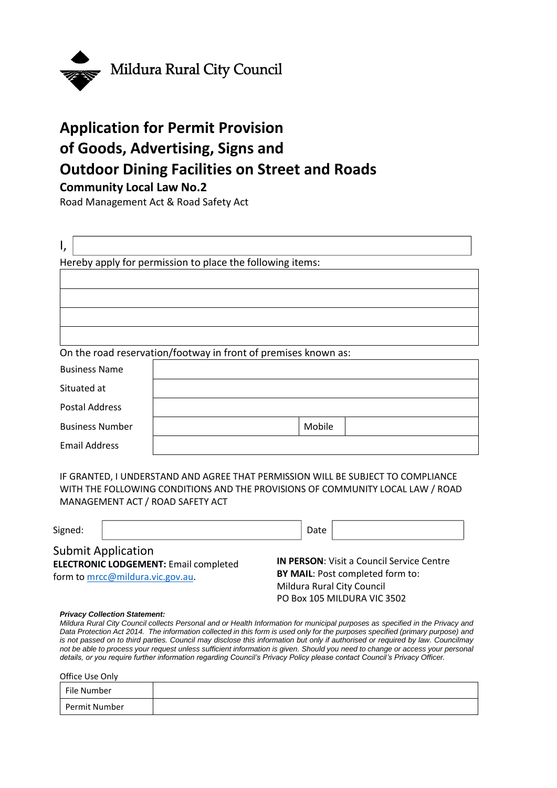

# **Application for Permit Provision of Goods, Advertising, Signs and Outdoor Dining Facilities on Street and Roads**

# **Community Local Law No.2**

Road Management Act & Road Safety Act

| I,                                                             |                                                           |  |
|----------------------------------------------------------------|-----------------------------------------------------------|--|
|                                                                | Hereby apply for permission to place the following items: |  |
|                                                                |                                                           |  |
|                                                                |                                                           |  |
|                                                                |                                                           |  |
|                                                                |                                                           |  |
| On the road reservation/footway in front of premises known as: |                                                           |  |
| <b>Business Name</b>                                           |                                                           |  |
| Situated at                                                    |                                                           |  |
| <b>Postal Address</b>                                          |                                                           |  |
| <b>Business Number</b>                                         | Mobile                                                    |  |
| <b>Email Address</b>                                           |                                                           |  |
|                                                                |                                                           |  |

IF GRANTED, I UNDERSTAND AND AGREE THAT PERMISSION WILL BE SUBJECT TO COMPLIANCE WITH THE FOLLOWING CONDITIONS AND THE PROVISIONS OF COMMUNITY LOCAL LAW / ROAD MANAGEMENT ACT / ROAD SAFETY ACT

| Signed: |                                                                                                               | Date                                                                                                                                              |  |
|---------|---------------------------------------------------------------------------------------------------------------|---------------------------------------------------------------------------------------------------------------------------------------------------|--|
|         | <b>Submit Application</b><br><b>ELECTRONIC LODGEMENT: Email completed</b><br>form to mrcc@mildura.vic.gov.au. | <b>IN PERSON:</b> Visit a Council Service Centre<br>BY MAIL: Post completed form to:<br>Mildura Rural City Council<br>PO Box 105 MILDURA VIC 3502 |  |
|         | <b>Privacy Collection Statement:</b>                                                                          | Mildura Rural City Council collects Personal and or Health Information for municipal purposes as specified in the Privacy ar                      |  |

*Mildura Rural City Council collects Personal and or Health Information for municipal purposes as specified in the Privacy and Data Protection Act 2014. The information collected in this form is used only for the purposes specified (primary purpose) and is not passed on to third parties. Council may disclose this information but only if authorised or required by law. Councilmay not be able to process your request unless sufficient information is given. Should you need to change or access your personal details, or you require further information regarding Council's Privacy Policy please contact Council's Privacy Officer.*

Office Use Only

| File Number   |  |
|---------------|--|
| Permit Number |  |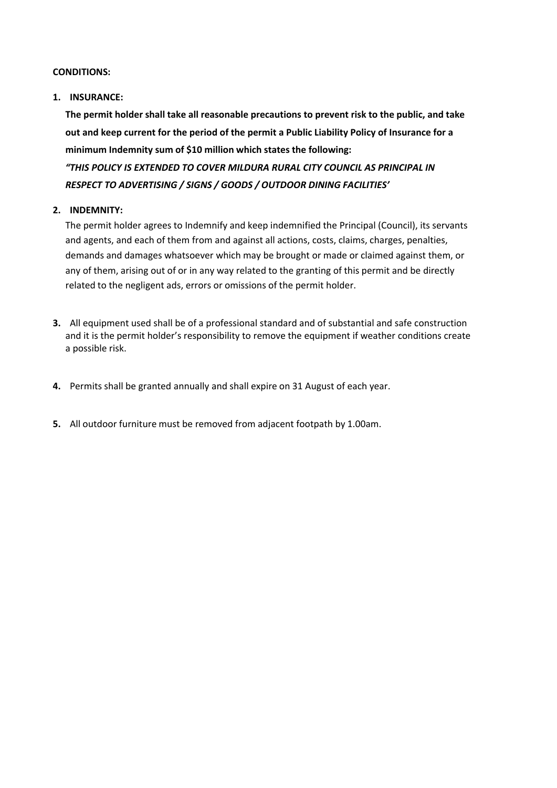### **CONDITIONS:**

## **1. INSURANCE:**

**The permit holder shall take all reasonable precautions to prevent risk to the public, and take out and keep current for the period of the permit a Public Liability Policy of Insurance for a minimum Indemnity sum of \$10 million which states the following:** *"THIS POLICY IS EXTENDED TO COVER MILDURA RURAL CITY COUNCIL AS PRINCIPAL IN RESPECT TO ADVERTISING / SIGNS / GOODS / OUTDOOR DINING FACILITIES'*

# **2. INDEMNITY:**

The permit holder agrees to Indemnify and keep indemnified the Principal (Council), its servants and agents, and each of them from and against all actions, costs, claims, charges, penalties, demands and damages whatsoever which may be brought or made or claimed against them, or any of them, arising out of or in any way related to the granting of this permit and be directly related to the negligent ads, errors or omissions of the permit holder.

- **3.** All equipment used shall be of a professional standard and of substantial and safe construction and it is the permit holder's responsibility to remove the equipment if weather conditions create a possible risk.
- **4.** Permits shall be granted annually and shall expire on 31 August of each year.
- **5.** All outdoor furniture must be removed from adjacent footpath by 1.00am.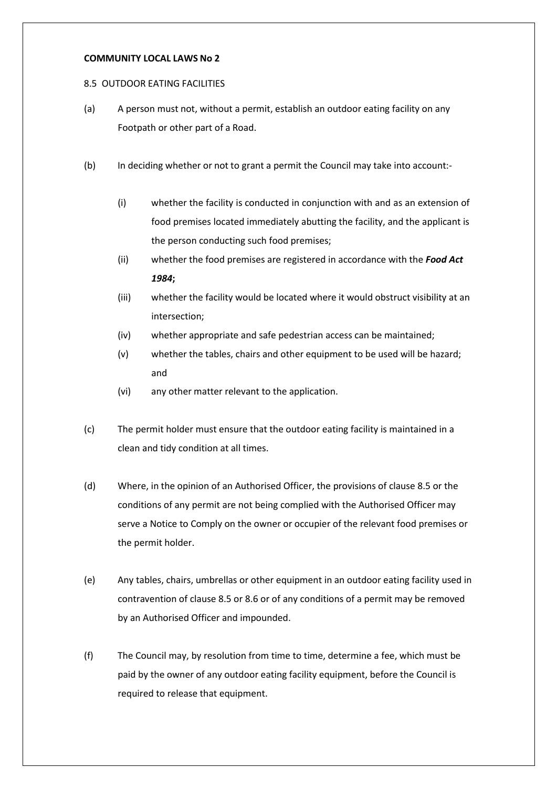#### **COMMUNITY LOCAL LAWS No 2**

#### 8.5 OUTDOOR EATING FACILITIES

- (a) A person must not, without a permit, establish an outdoor eating facility on any Footpath or other part of a Road.
- (b) In deciding whether or not to grant a permit the Council may take into account:-
	- (i) whether the facility is conducted in conjunction with and as an extension of food premises located immediately abutting the facility, and the applicant is the person conducting such food premises;
	- (ii) whether the food premises are registered in accordance with the *Food Act 1984***;**
	- (iii) whether the facility would be located where it would obstruct visibility at an intersection;
	- (iv) whether appropriate and safe pedestrian access can be maintained;
	- (v) whether the tables, chairs and other equipment to be used will be hazard; and
	- (vi) any other matter relevant to the application.
- (c) The permit holder must ensure that the outdoor eating facility is maintained in a clean and tidy condition at all times.
- (d) Where, in the opinion of an Authorised Officer, the provisions of clause 8.5 or the conditions of any permit are not being complied with the Authorised Officer may serve a Notice to Comply on the owner or occupier of the relevant food premises or the permit holder.
- (e) Any tables, chairs, umbrellas or other equipment in an outdoor eating facility used in contravention of clause 8.5 or 8.6 or of any conditions of a permit may be removed by an Authorised Officer and impounded.
- (f) The Council may, by resolution from time to time, determine a fee, which must be paid by the owner of any outdoor eating facility equipment, before the Council is required to release that equipment.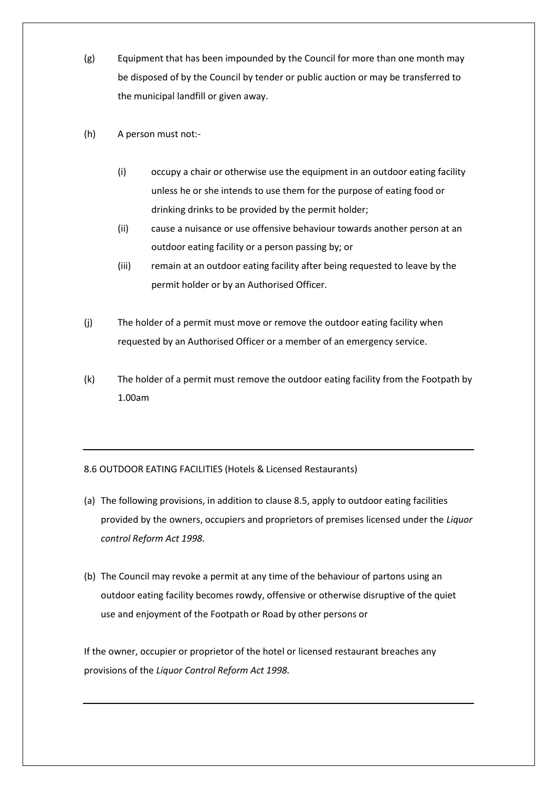- (g) Equipment that has been impounded by the Council for more than one month may be disposed of by the Council by tender or public auction or may be transferred to the municipal landfill or given away.
- (h) A person must not:-
	- (i) occupy a chair or otherwise use the equipment in an outdoor eating facility unless he or she intends to use them for the purpose of eating food or drinking drinks to be provided by the permit holder;
	- (ii) cause a nuisance or use offensive behaviour towards another person at an outdoor eating facility or a person passing by; or
	- (iii) remain at an outdoor eating facility after being requested to leave by the permit holder or by an Authorised Officer.
- (j) The holder of a permit must move or remove the outdoor eating facility when requested by an Authorised Officer or a member of an emergency service.
- (k) The holder of a permit must remove the outdoor eating facility from the Footpath by 1.00am

# 8.6 OUTDOOR EATING FACILITIES (Hotels & Licensed Restaurants)

- (a) The following provisions, in addition to clause 8.5, apply to outdoor eating facilities provided by the owners, occupiers and proprietors of premises licensed under the *Liquor control Reform Act 1998.*
- (b) The Council may revoke a permit at any time of the behaviour of partons using an outdoor eating facility becomes rowdy, offensive or otherwise disruptive of the quiet use and enjoyment of the Footpath or Road by other persons or

If the owner, occupier or proprietor of the hotel or licensed restaurant breaches any provisions of the *Liquor Control Reform Act 1998.*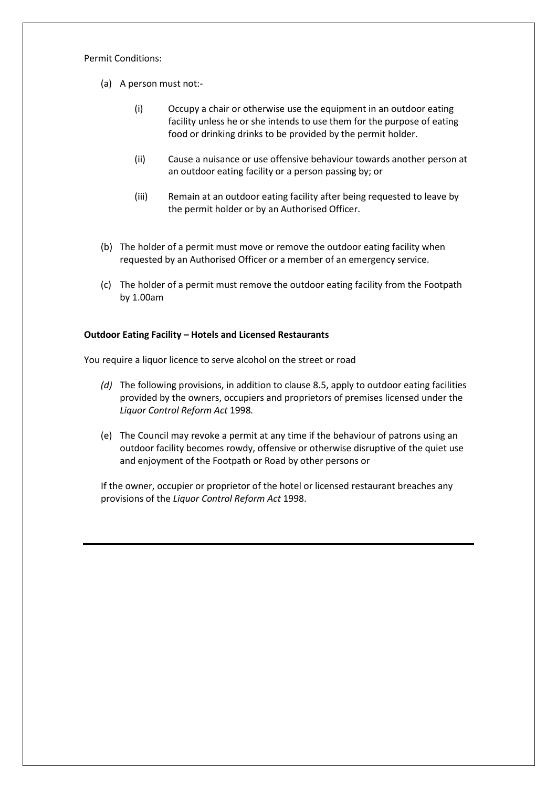#### Permit Conditions:

- (a) A person must not:-
	- (i) Occupy a chair or otherwise use the equipment in an outdoor eating facility unless he or she intends to use them for the purpose of eating food or drinking drinks to be provided by the permit holder.
	- (ii) Cause a nuisance or use offensive behaviour towards another person at an outdoor eating facility or a person passing by; or
	- (iii) Remain at an outdoor eating facility after being requested to leave by the permit holder or by an Authorised Officer.
- (b) The holder of a permit must move or remove the outdoor eating facility when requested by an Authorised Officer or a member of an emergency service.
- (c) The holder of a permit must remove the outdoor eating facility from the Footpath by 1.00am

#### **Outdoor Eating Facility – Hotels and Licensed Restaurants**

You require a liquor licence to serve alcohol on the street or road

- *(d)* The following provisions, in addition to clause 8.5, apply to outdoor eating facilities provided by the owners, occupiers and proprietors of premises licensed under the *Liquor Control Reform Act* 1998*.*
- (e) The Council may revoke a permit at any time if the behaviour of patrons using an outdoor facility becomes rowdy, offensive or otherwise disruptive of the quiet use and enjoyment of the Footpath or Road by other persons or

If the owner, occupier or proprietor of the hotel or licensed restaurant breaches any provisions of the *Liquor Control Reform Act* 1998.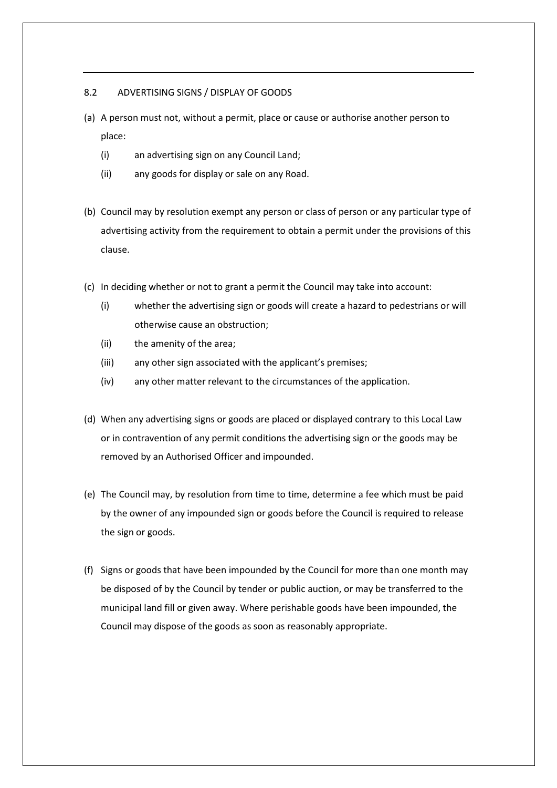#### 8.2 ADVERTISING SIGNS / DISPLAY OF GOODS

- (a) A person must not, without a permit, place or cause or authorise another person to place:
	- (i) an advertising sign on any Council Land;
	- (ii) any goods for display or sale on any Road.
- (b) Council may by resolution exempt any person or class of person or any particular type of advertising activity from the requirement to obtain a permit under the provisions of this clause.
- (c) In deciding whether or not to grant a permit the Council may take into account:
	- (i) whether the advertising sign or goods will create a hazard to pedestrians or will otherwise cause an obstruction;
	- (ii) the amenity of the area;
	- (iii) any other sign associated with the applicant's premises;
	- (iv) any other matter relevant to the circumstances of the application.
- (d) When any advertising signs or goods are placed or displayed contrary to this Local Law or in contravention of any permit conditions the advertising sign or the goods may be removed by an Authorised Officer and impounded.
- (e) The Council may, by resolution from time to time, determine a fee which must be paid by the owner of any impounded sign or goods before the Council is required to release the sign or goods.
- (f) Signs or goods that have been impounded by the Council for more than one month may be disposed of by the Council by tender or public auction, or may be transferred to the municipal land fill or given away. Where perishable goods have been impounded, the Council may dispose of the goods as soon as reasonably appropriate.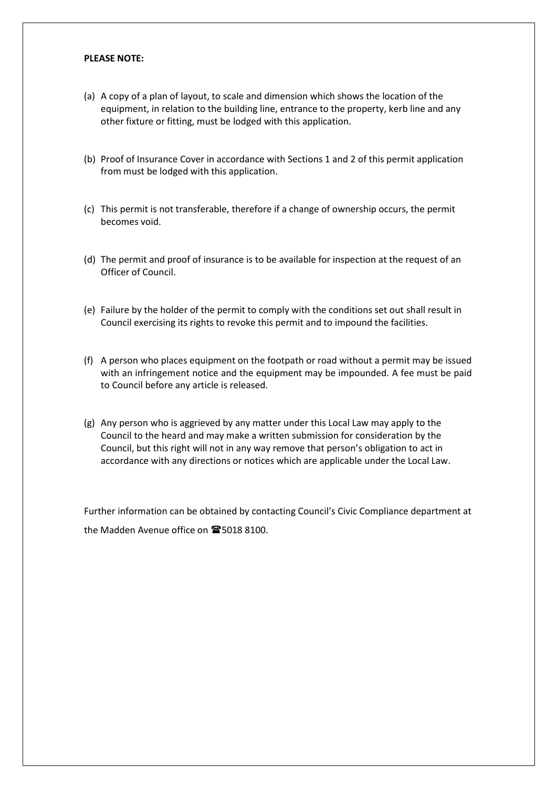#### **PLEASE NOTE:**

- (a) A copy of a plan of layout, to scale and dimension which shows the location of the equipment, in relation to the building line, entrance to the property, kerb line and any other fixture or fitting, must be lodged with this application.
- (b) Proof of Insurance Cover in accordance with Sections 1 and 2 of this permit application from must be lodged with this application.
- (c) This permit is not transferable, therefore if a change of ownership occurs, the permit becomes void.
- (d) The permit and proof of insurance is to be available for inspection at the request of an Officer of Council.
- (e) Failure by the holder of the permit to comply with the conditions set out shall result in Council exercising its rights to revoke this permit and to impound the facilities.
- (f) A person who places equipment on the footpath or road without a permit may be issued with an infringement notice and the equipment may be impounded. A fee must be paid to Council before any article is released.
- (g) Any person who is aggrieved by any matter under this Local Law may apply to the Council to the heard and may make a written submission for consideration by the Council, but this right will not in any way remove that person's obligation to act in accordance with any directions or notices which are applicable under the Local Law.

Further information can be obtained by contacting Council's Civic Compliance department at the Madden Avenue office on **165018 8100.**